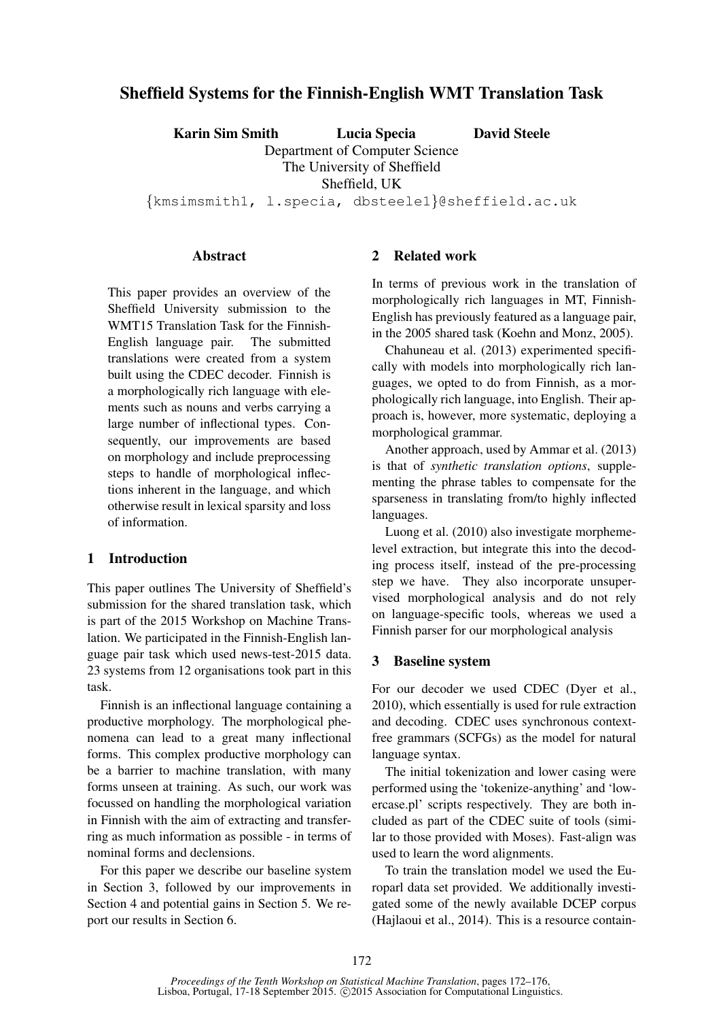# Sheffield Systems for the Finnish-English WMT Translation Task

Karin Sim Smith Lucia Specia David Steele

Department of Computer Science The University of Sheffield Sheffield, UK

{kmsimsmith1, l.specia, dbsteele1}@sheffield.ac.uk

#### **Abstract**

This paper provides an overview of the Sheffield University submission to the WMT15 Translation Task for the Finnish-English language pair. The submitted translations were created from a system built using the CDEC decoder. Finnish is a morphologically rich language with elements such as nouns and verbs carrying a large number of inflectional types. Consequently, our improvements are based on morphology and include preprocessing steps to handle of morphological inflections inherent in the language, and which otherwise result in lexical sparsity and loss of information.

### 1 Introduction

This paper outlines The University of Sheffield's submission for the shared translation task, which is part of the 2015 Workshop on Machine Translation. We participated in the Finnish-English language pair task which used news-test-2015 data. 23 systems from 12 organisations took part in this task.

Finnish is an inflectional language containing a productive morphology. The morphological phenomena can lead to a great many inflectional forms. This complex productive morphology can be a barrier to machine translation, with many forms unseen at training. As such, our work was focussed on handling the morphological variation in Finnish with the aim of extracting and transferring as much information as possible - in terms of nominal forms and declensions.

For this paper we describe our baseline system in Section 3, followed by our improvements in Section 4 and potential gains in Section 5. We report our results in Section 6.

## 2 Related work

In terms of previous work in the translation of morphologically rich languages in MT, Finnish-English has previously featured as a language pair, in the 2005 shared task (Koehn and Monz, 2005).

Chahuneau et al. (2013) experimented specifically with models into morphologically rich languages, we opted to do from Finnish, as a morphologically rich language, into English. Their approach is, however, more systematic, deploying a morphological grammar.

Another approach, used by Ammar et al. (2013) is that of *synthetic translation options*, supplementing the phrase tables to compensate for the sparseness in translating from/to highly inflected languages.

Luong et al. (2010) also investigate morphemelevel extraction, but integrate this into the decoding process itself, instead of the pre-processing step we have. They also incorporate unsupervised morphological analysis and do not rely on language-specific tools, whereas we used a Finnish parser for our morphological analysis

### 3 Baseline system

For our decoder we used CDEC (Dyer et al., 2010), which essentially is used for rule extraction and decoding. CDEC uses synchronous contextfree grammars (SCFGs) as the model for natural language syntax.

The initial tokenization and lower casing were performed using the 'tokenize-anything' and 'lowercase.pl' scripts respectively. They are both included as part of the CDEC suite of tools (similar to those provided with Moses). Fast-align was used to learn the word alignments.

To train the translation model we used the Europarl data set provided. We additionally investigated some of the newly available DCEP corpus (Hajlaoui et al., 2014). This is a resource contain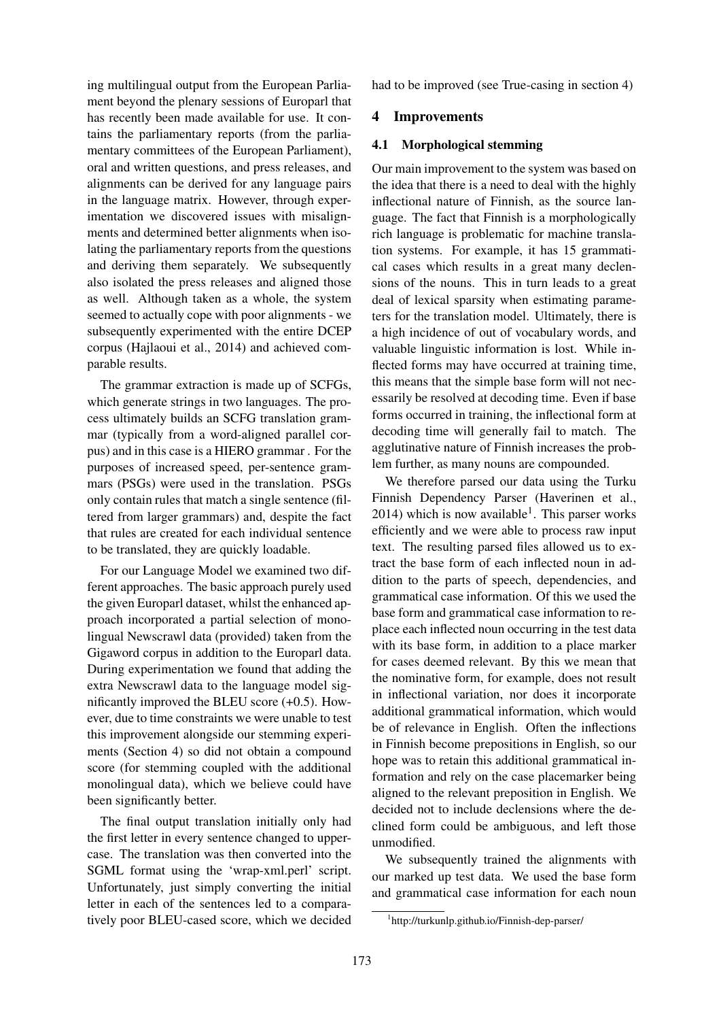ing multilingual output from the European Parliament beyond the plenary sessions of Europarl that has recently been made available for use. It contains the parliamentary reports (from the parliamentary committees of the European Parliament), oral and written questions, and press releases, and alignments can be derived for any language pairs in the language matrix. However, through experimentation we discovered issues with misalignments and determined better alignments when isolating the parliamentary reports from the questions and deriving them separately. We subsequently also isolated the press releases and aligned those as well. Although taken as a whole, the system seemed to actually cope with poor alignments - we subsequently experimented with the entire DCEP corpus (Hajlaoui et al., 2014) and achieved comparable results.

The grammar extraction is made up of SCFGs, which generate strings in two languages. The process ultimately builds an SCFG translation grammar (typically from a word-aligned parallel corpus) and in this case is a HIERO grammar . For the purposes of increased speed, per-sentence grammars (PSGs) were used in the translation. PSGs only contain rules that match a single sentence (filtered from larger grammars) and, despite the fact that rules are created for each individual sentence to be translated, they are quickly loadable.

For our Language Model we examined two different approaches. The basic approach purely used the given Europarl dataset, whilst the enhanced approach incorporated a partial selection of monolingual Newscrawl data (provided) taken from the Gigaword corpus in addition to the Europarl data. During experimentation we found that adding the extra Newscrawl data to the language model significantly improved the BLEU score (+0.5). However, due to time constraints we were unable to test this improvement alongside our stemming experiments (Section 4) so did not obtain a compound score (for stemming coupled with the additional monolingual data), which we believe could have been significantly better.

The final output translation initially only had the first letter in every sentence changed to uppercase. The translation was then converted into the SGML format using the 'wrap-xml.perl' script. Unfortunately, just simply converting the initial letter in each of the sentences led to a comparatively poor BLEU-cased score, which we decided had to be improved (see True-casing in section 4)

### 4 Improvements

#### 4.1 Morphological stemming

Our main improvement to the system was based on the idea that there is a need to deal with the highly inflectional nature of Finnish, as the source language. The fact that Finnish is a morphologically rich language is problematic for machine translation systems. For example, it has 15 grammatical cases which results in a great many declensions of the nouns. This in turn leads to a great deal of lexical sparsity when estimating parameters for the translation model. Ultimately, there is a high incidence of out of vocabulary words, and valuable linguistic information is lost. While inflected forms may have occurred at training time, this means that the simple base form will not necessarily be resolved at decoding time. Even if base forms occurred in training, the inflectional form at decoding time will generally fail to match. The agglutinative nature of Finnish increases the problem further, as many nouns are compounded.

We therefore parsed our data using the Turku Finnish Dependency Parser (Haverinen et al.,  $2014$ ) which is now available<sup>1</sup>. This parser works efficiently and we were able to process raw input text. The resulting parsed files allowed us to extract the base form of each inflected noun in addition to the parts of speech, dependencies, and grammatical case information. Of this we used the base form and grammatical case information to replace each inflected noun occurring in the test data with its base form, in addition to a place marker for cases deemed relevant. By this we mean that the nominative form, for example, does not result in inflectional variation, nor does it incorporate additional grammatical information, which would be of relevance in English. Often the inflections in Finnish become prepositions in English, so our hope was to retain this additional grammatical information and rely on the case placemarker being aligned to the relevant preposition in English. We decided not to include declensions where the declined form could be ambiguous, and left those unmodified.

We subsequently trained the alignments with our marked up test data. We used the base form and grammatical case information for each noun

<sup>1</sup> http://turkunlp.github.io/Finnish-dep-parser/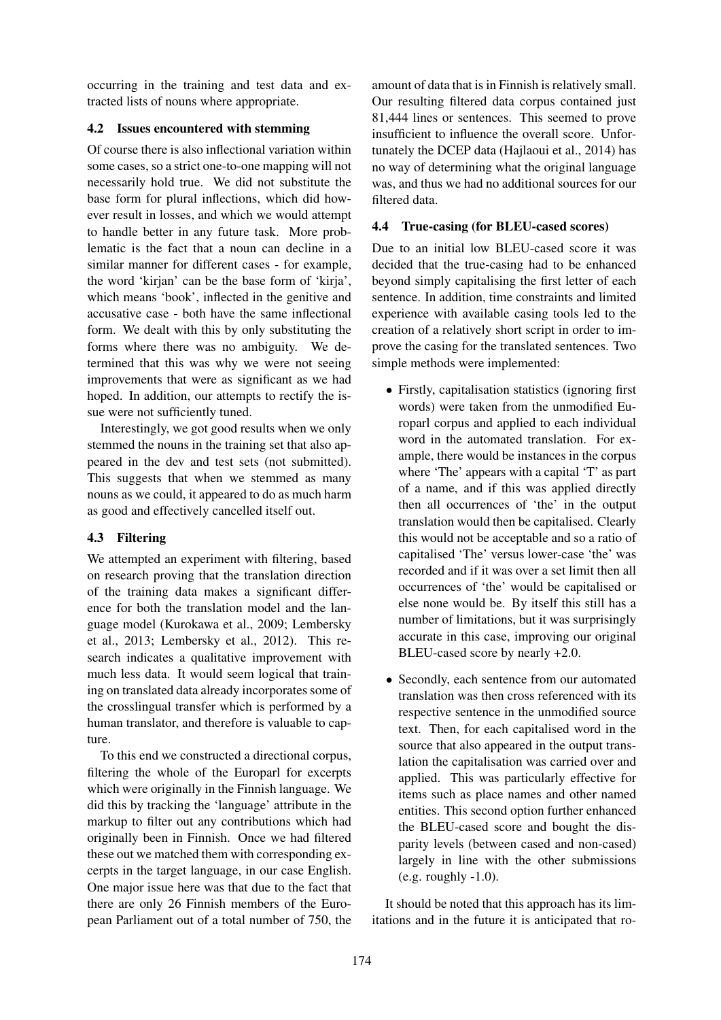occurring in the training and test data and extracted lists of nouns where appropriate.

# 4.2 Issues encountered with stemming

Of course there is also inflectional variation within some cases, so a strict one-to-one mapping will not necessarily hold true. We did not substitute the base form for plural inflections, which did however result in losses, and which we would attempt to handle better in any future task. More problematic is the fact that a noun can decline in a similar manner for different cases - for example, the word 'kirjan' can be the base form of 'kirja', which means 'book', inflected in the genitive and accusative case - both have the same inflectional form. We dealt with this by only substituting the forms where there was no ambiguity. We determined that this was why we were not seeing improvements that were as significant as we had hoped. In addition, our attempts to rectify the issue were not sufficiently tuned.

Interestingly, we got good results when we only stemmed the nouns in the training set that also appeared in the dev and test sets (not submitted). This suggests that when we stemmed as many nouns as we could, it appeared to do as much harm as good and effectively cancelled itself out.

# 4.3 Filtering

We attempted an experiment with filtering, based on research proving that the translation direction of the training data makes a significant difference for both the translation model and the language model (Kurokawa et al., 2009; Lembersky et al., 2013; Lembersky et al., 2012). This research indicates a qualitative improvement with much less data. It would seem logical that training on translated data already incorporates some of the crosslingual transfer which is performed by a human translator, and therefore is valuable to capture.

To this end we constructed a directional corpus, filtering the whole of the Europarl for excerpts which were originally in the Finnish language. We did this by tracking the 'language' attribute in the markup to filter out any contributions which had originally been in Finnish. Once we had filtered these out we matched them with corresponding excerpts in the target language, in our case English. One major issue here was that due to the fact that there are only 26 Finnish members of the European Parliament out of a total number of 750, the

amount of data that is in Finnish is relatively small. Our resulting filtered data corpus contained just 81,444 lines or sentences. This seemed to prove insufficient to influence the overall score. Unfortunately the DCEP data (Hajlaoui et al., 2014) has no way of determining what the original language was, and thus we had no additional sources for our filtered data.

# 4.4 True-casing (for BLEU-cased scores)

Due to an initial low BLEU-cased score it was decided that the true-casing had to be enhanced beyond simply capitalising the first letter of each sentence. In addition, time constraints and limited experience with available casing tools led to the creation of a relatively short script in order to improve the casing for the translated sentences. Two simple methods were implemented:

- Firstly, capitalisation statistics (ignoring first words) were taken from the unmodified Europarl corpus and applied to each individual word in the automated translation. For example, there would be instances in the corpus where 'The' appears with a capital 'T' as part of a name, and if this was applied directly then all occurrences of 'the' in the output translation would then be capitalised. Clearly this would not be acceptable and so a ratio of capitalised 'The' versus lower-case 'the' was recorded and if it was over a set limit then all occurrences of 'the' would be capitalised or else none would be. By itself this still has a number of limitations, but it was surprisingly accurate in this case, improving our original BLEU-cased score by nearly +2.0.
- Secondly, each sentence from our automated translation was then cross referenced with its respective sentence in the unmodified source text. Then, for each capitalised word in the source that also appeared in the output translation the capitalisation was carried over and applied. This was particularly effective for items such as place names and other named entities. This second option further enhanced the BLEU-cased score and bought the disparity levels (between cased and non-cased) largely in line with the other submissions (e.g. roughly -1.0).

It should be noted that this approach has its limitations and in the future it is anticipated that ro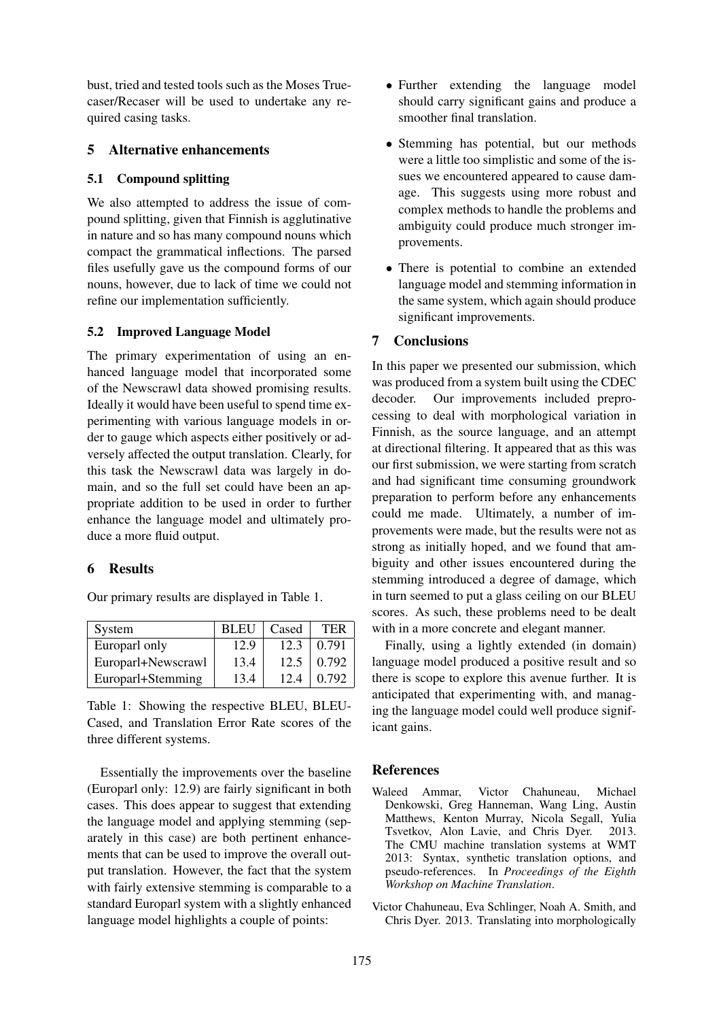bust, tried and tested tools such as the Moses Truecaser/Recaser will be used to undertake any required casing tasks.

## 5 Alternative enhancements

## 5.1 Compound splitting

We also attempted to address the issue of compound splitting, given that Finnish is agglutinative in nature and so has many compound nouns which compact the grammatical inflections. The parsed files usefully gave us the compound forms of our nouns, however, due to lack of time we could not refine our implementation sufficiently.

## 5.2 Improved Language Model

The primary experimentation of using an enhanced language model that incorporated some of the Newscrawl data showed promising results. Ideally it would have been useful to spend time experimenting with various language models in order to gauge which aspects either positively or adversely affected the output translation. Clearly, for this task the Newscrawl data was largely in domain, and so the full set could have been an appropriate addition to be used in order to further enhance the language model and ultimately produce a more fluid output.

## 6 Results

Our primary results are displayed in Table 1.

| System             | <b>BLEU</b> | Cased | TER   |
|--------------------|-------------|-------|-------|
| Europarl only      | 12.9        | 12.3  | 0.791 |
| Europarl+Newscrawl | 13.4        | 12.5  | 0.792 |
| Europarl+Stemming  | 13.4        | 12.4  | 0.792 |

Table 1: Showing the respective BLEU, BLEU-Cased, and Translation Error Rate scores of the three different systems.

Essentially the improvements over the baseline (Europarl only: 12.9) are fairly significant in both cases. This does appear to suggest that extending the language model and applying stemming (separately in this case) are both pertinent enhancements that can be used to improve the overall output translation. However, the fact that the system with fairly extensive stemming is comparable to a standard Europarl system with a slightly enhanced language model highlights a couple of points:

- Further extending the language model should carry significant gains and produce a smoother final translation.
- Stemming has potential, but our methods were a little too simplistic and some of the issues we encountered appeared to cause damage. This suggests using more robust and complex methods to handle the problems and ambiguity could produce much stronger improvements.
- There is potential to combine an extended language model and stemming information in the same system, which again should produce significant improvements.

# 7 Conclusions

In this paper we presented our submission, which was produced from a system built using the CDEC decoder. Our improvements included preprocessing to deal with morphological variation in Finnish, as the source language, and an attempt at directional filtering. It appeared that as this was our first submission, we were starting from scratch and had significant time consuming groundwork preparation to perform before any enhancements could me made. Ultimately, a number of improvements were made, but the results were not as strong as initially hoped, and we found that ambiguity and other issues encountered during the stemming introduced a degree of damage, which in turn seemed to put a glass ceiling on our BLEU scores. As such, these problems need to be dealt with in a more concrete and elegant manner.

Finally, using a lightly extended (in domain) language model produced a positive result and so there is scope to explore this avenue further. It is anticipated that experimenting with, and managing the language model could well produce significant gains.

## **References**

- Waleed Ammar, Victor Chahuneau, Michael Denkowski, Greg Hanneman, Wang Ling, Austin Matthews, Kenton Murray, Nicola Segall, Yulia Tsvetkov, Alon Lavie, and Chris Dyer. 2013. The CMU machine translation systems at WMT 2013: Syntax, synthetic translation options, and pseudo-references. In *Proceedings of the Eighth Workshop on Machine Translation*.
- Victor Chahuneau, Eva Schlinger, Noah A. Smith, and Chris Dyer. 2013. Translating into morphologically